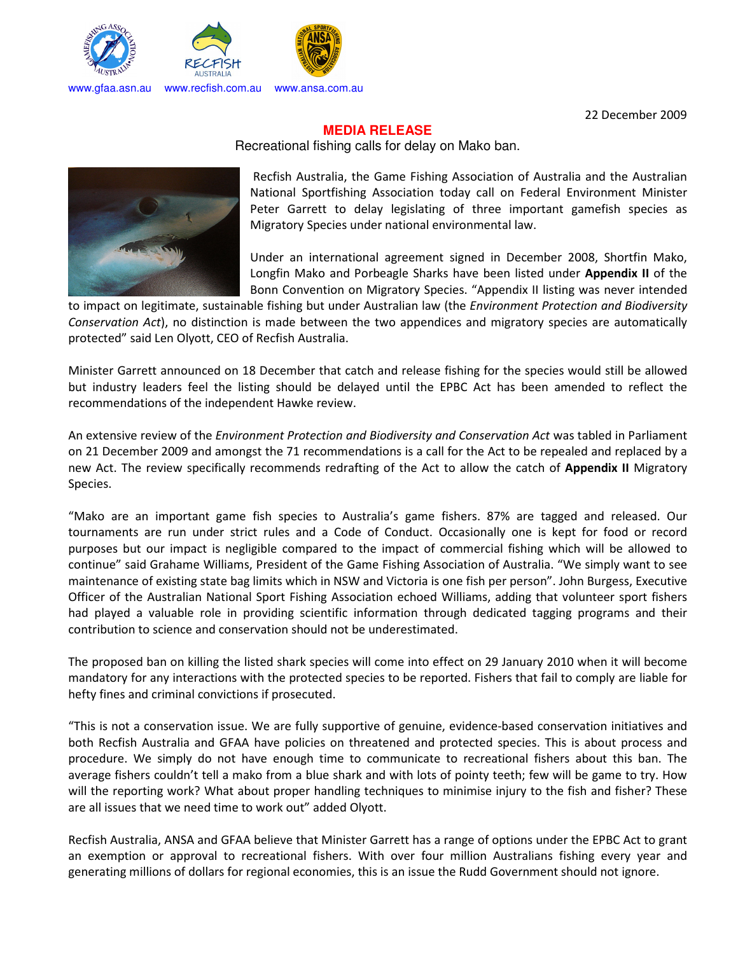

22 December 2009

## **MEDIA RELEASE**

Recreational fishing calls for delay on Mako ban.



Recfish Australia, the Game Fishing Association of Australia and the Australian National Sportfishing Association today call on Federal Environment Minister Peter Garrett to delay legislating of three important gamefish species as Migratory Species under national environmental law.

Under an international agreement signed in December 2008, Shortfin Mako, Longfin Mako and Porbeagle Sharks have been listed under **Appendix II** of the Bonn Convention on Migratory Species. "Appendix II listing was never intended

to impact on legitimate, sustainable fishing but under Australian law (the *Environment Protection and Biodiversity Conservation Act*), no distinction is made between the two appendices and migratory species are automatically protected" said Len Olyott, CEO of Recfish Australia.

Minister Garrett announced on 18 December that catch and release fishing for the species would still be allowed but industry leaders feel the listing should be delayed until the EPBC Act has been amended to reflect the recommendations of the independent Hawke review.

An extensive review of the *Environment Protection and Biodiversity and Conservation Act* was tabled in Parliament on 21 December 2009 and amongst the 71 recommendations is a call for the Act to be repealed and replaced by a new Act. The review specifically recommends redrafting of the Act to allow the catch of **Appendix II** Migratory Species.

"Mako are an important game fish species to Australia's game fishers. 87% are tagged and released. Our tournaments are run under strict rules and a Code of Conduct. Occasionally one is kept for food or record purposes but our impact is negligible compared to the impact of commercial fishing which will be allowed to continue" said Grahame Williams, President of the Game Fishing Association of Australia. "We simply want to see maintenance of existing state bag limits which in NSW and Victoria is one fish per person". John Burgess, Executive Officer of the Australian National Sport Fishing Association echoed Williams, adding that volunteer sport fishers had played a valuable role in providing scientific information through dedicated tagging programs and their contribution to science and conservation should not be underestimated.

The proposed ban on killing the listed shark species will come into effect on 29 January 2010 when it will become mandatory for any interactions with the protected species to be reported. Fishers that fail to comply are liable for hefty fines and criminal convictions if prosecuted.

"This is not a conservation issue. We are fully supportive of genuine, evidence-based conservation initiatives and both Recfish Australia and GFAA have policies on threatened and protected species. This is about process and procedure. We simply do not have enough time to communicate to recreational fishers about this ban. The average fishers couldn't tell a mako from a blue shark and with lots of pointy teeth; few will be game to try. How will the reporting work? What about proper handling techniques to minimise injury to the fish and fisher? These are all issues that we need time to work out" added Olyott.

Recfish Australia, ANSA and GFAA believe that Minister Garrett has a range of options under the EPBC Act to grant an exemption or approval to recreational fishers. With over four million Australians fishing every year and generating millions of dollars for regional economies, this is an issue the Rudd Government should not ignore.